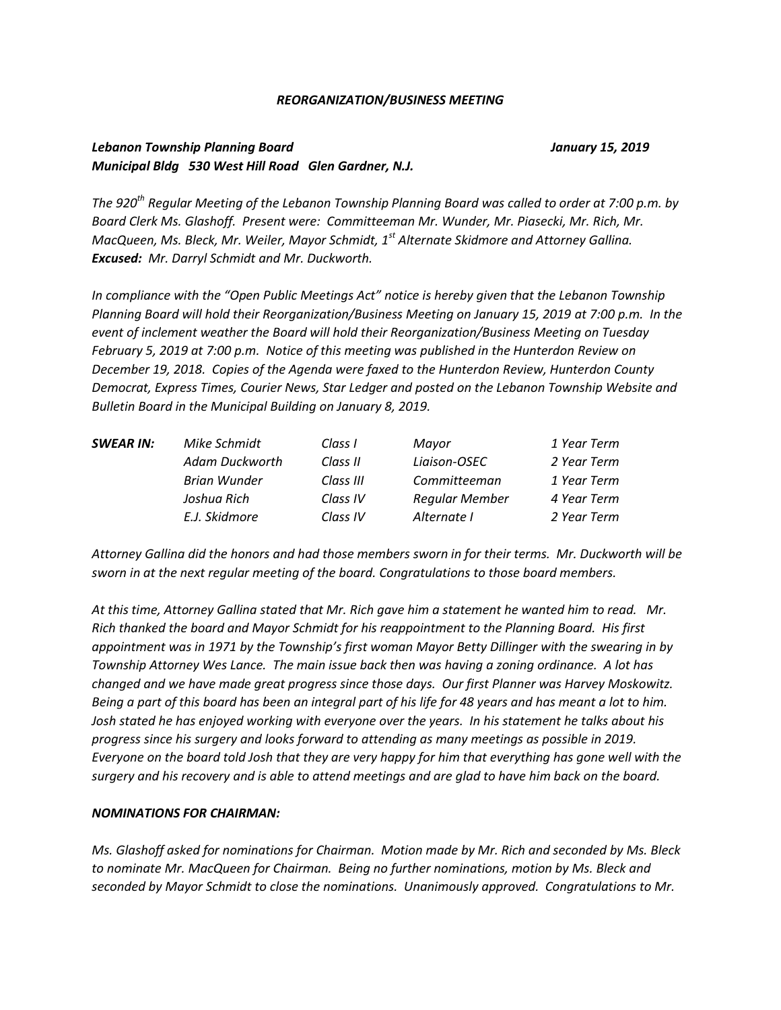#### *REORGANIZATION/BUSINESS MEETING*

## *Lebanon Township Planning Board January 15, 2019 Municipal Bldg 530 West Hill Road Glen Gardner, N.J.*

*The 920th Regular Meeting of the Lebanon Township Planning Board was called to order at 7:00 p.m. by Board Clerk Ms. Glashoff. Present were: Committeeman Mr. Wunder, Mr. Piasecki, Mr. Rich, Mr. MacQueen, Ms. Bleck, Mr. Weiler, Mayor Schmidt, 1st Alternate Skidmore and Attorney Gallina. Excused: Mr. Darryl Schmidt and Mr. Duckworth.* 

*In compliance with the "Open Public Meetings Act" notice is hereby given that the Lebanon Township Planning Board will hold their Reorganization/Business Meeting on January 15, 2019 at 7:00 p.m. In the event of inclement weather the Board will hold their Reorganization/Business Meeting on Tuesday February 5, 2019 at 7:00 p.m. Notice of this meeting was published in the Hunterdon Review on December 19, 2018. Copies of the Agenda were faxed to the Hunterdon Review, Hunterdon County Democrat, Express Times, Courier News, Star Ledger and posted on the Lebanon Township Website and Bulletin Board in the Municipal Building on January 8, 2019.*

| <b>SWEAR IN:</b> | Mike Schmidt        | Class I   | Mayor                 | 1 Year Term |
|------------------|---------------------|-----------|-----------------------|-------------|
|                  | Adam Duckworth      | Class II  | Liaison-OSEC          | 2 Year Term |
|                  | <b>Brian Wunder</b> | Class III | Committeeman          | 1 Year Term |
|                  | Joshua Rich         | Class IV  | <b>Regular Member</b> | 4 Year Term |
|                  | E.J. Skidmore       | Class IV  | Alternate I           | 2 Year Term |

*Attorney Gallina did the honors and had those members sworn in for their terms. Mr. Duckworth will be sworn in at the next regular meeting of the board. Congratulations to those board members.* 

*At this time, Attorney Gallina stated that Mr. Rich gave him a statement he wanted him to read. Mr. Rich thanked the board and Mayor Schmidt for his reappointment to the Planning Board. His first appointment was in 1971 by the Township's first woman Mayor Betty Dillinger with the swearing in by Township Attorney Wes Lance. The main issue back then was having a zoning ordinance. A lot has changed and we have made great progress since those days. Our first Planner was Harvey Moskowitz. Being a part of this board has been an integral part of his life for 48 years and has meant a lot to him. Josh stated he has enjoyed working with everyone over the years. In his statement he talks about his progress since his surgery and looks forward to attending as many meetings as possible in 2019. Everyone on the board told Josh that they are very happy for him that everything has gone well with the surgery and his recovery and is able to attend meetings and are glad to have him back on the board.*

#### *NOMINATIONS FOR CHAIRMAN:*

*Ms. Glashoff asked for nominations for Chairman. Motion made by Mr. Rich and seconded by Ms. Bleck to nominate Mr. MacQueen for Chairman. Being no further nominations, motion by Ms. Bleck and seconded by Mayor Schmidt to close the nominations. Unanimously approved. Congratulations to Mr.*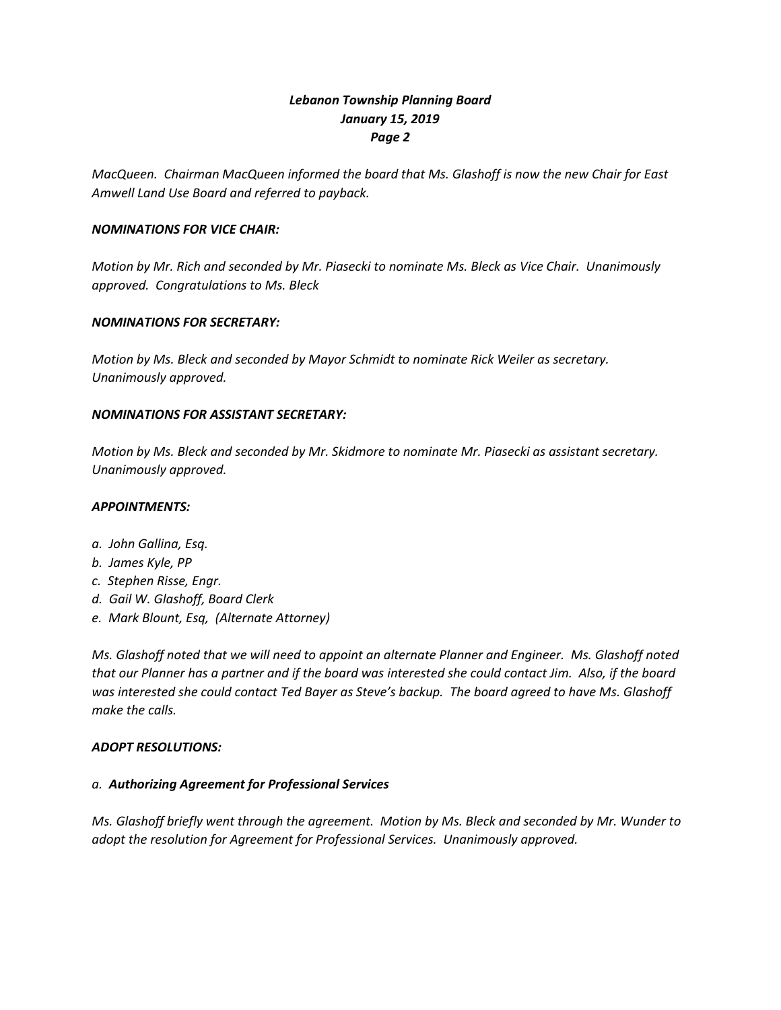# *Lebanon Township Planning Board January 15, 2019 Page 2*

*MacQueen. Chairman MacQueen informed the board that Ms. Glashoff is now the new Chair for East Amwell Land Use Board and referred to payback.*

## *NOMINATIONS FOR VICE CHAIR:*

*Motion by Mr. Rich and seconded by Mr. Piasecki to nominate Ms. Bleck as Vice Chair. Unanimously approved. Congratulations to Ms. Bleck*

### *NOMINATIONS FOR SECRETARY:*

*Motion by Ms. Bleck and seconded by Mayor Schmidt to nominate Rick Weiler as secretary. Unanimously approved.*

### *NOMINATIONS FOR ASSISTANT SECRETARY:*

*Motion by Ms. Bleck and seconded by Mr. Skidmore to nominate Mr. Piasecki as assistant secretary. Unanimously approved.*

### *APPOINTMENTS:*

- *a. John Gallina, Esq.*
- *b. James Kyle, PP*
- *c. Stephen Risse, Engr.*
- *d. Gail W. Glashoff, Board Clerk*
- *e. Mark Blount, Esq, (Alternate Attorney)*

*Ms. Glashoff noted that we will need to appoint an alternate Planner and Engineer. Ms. Glashoff noted that our Planner has a partner and if the board was interested she could contact Jim. Also, if the board was interested she could contact Ted Bayer as Steve's backup. The board agreed to have Ms. Glashoff make the calls.* 

#### *ADOPT RESOLUTIONS:*

## *a. Authorizing Agreement for Professional Services*

*Ms. Glashoff briefly went through the agreement. Motion by Ms. Bleck and seconded by Mr. Wunder to adopt the resolution for Agreement for Professional Services. Unanimously approved.*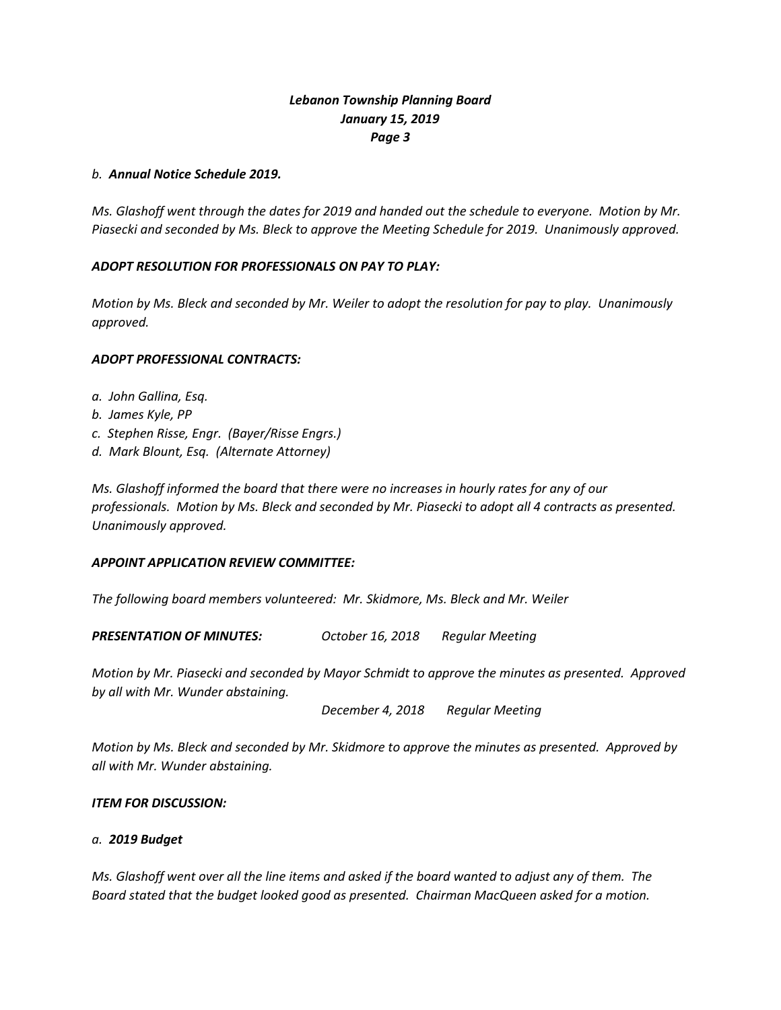# *Lebanon Township Planning Board January 15, 2019 Page 3*

### *b. Annual Notice Schedule 2019.*

*Ms. Glashoff went through the dates for 2019 and handed out the schedule to everyone. Motion by Mr. Piasecki and seconded by Ms. Bleck to approve the Meeting Schedule for 2019. Unanimously approved.*

## *ADOPT RESOLUTION FOR PROFESSIONALS ON PAY TO PLAY:*

*Motion by Ms. Bleck and seconded by Mr. Weiler to adopt the resolution for pay to play. Unanimously approved.*

### *ADOPT PROFESSIONAL CONTRACTS:*

- *a. John Gallina, Esq.*
- *b. James Kyle, PP*
- *c. Stephen Risse, Engr. (Bayer/Risse Engrs.)*
- *d. Mark Blount, Esq. (Alternate Attorney)*

*Ms. Glashoff informed the board that there were no increases in hourly rates for any of our professionals. Motion by Ms. Bleck and seconded by Mr. Piasecki to adopt all 4 contracts as presented. Unanimously approved.*

## *APPOINT APPLICATION REVIEW COMMITTEE:*

*The following board members volunteered: Mr. Skidmore, Ms. Bleck and Mr. Weiler*

*PRESENTATION OF MINUTES: October 16, 2018 Regular Meeting*

*Motion by Mr. Piasecki and seconded by Mayor Schmidt to approve the minutes as presented. Approved by all with Mr. Wunder abstaining.*

*December 4, 2018 Regular Meeting*

*Motion by Ms. Bleck and seconded by Mr. Skidmore to approve the minutes as presented. Approved by all with Mr. Wunder abstaining.*

## *ITEM FOR DISCUSSION:*

## *a. 2019 Budget*

*Ms. Glashoff went over all the line items and asked if the board wanted to adjust any of them. The Board stated that the budget looked good as presented. Chairman MacQueen asked for a motion.*